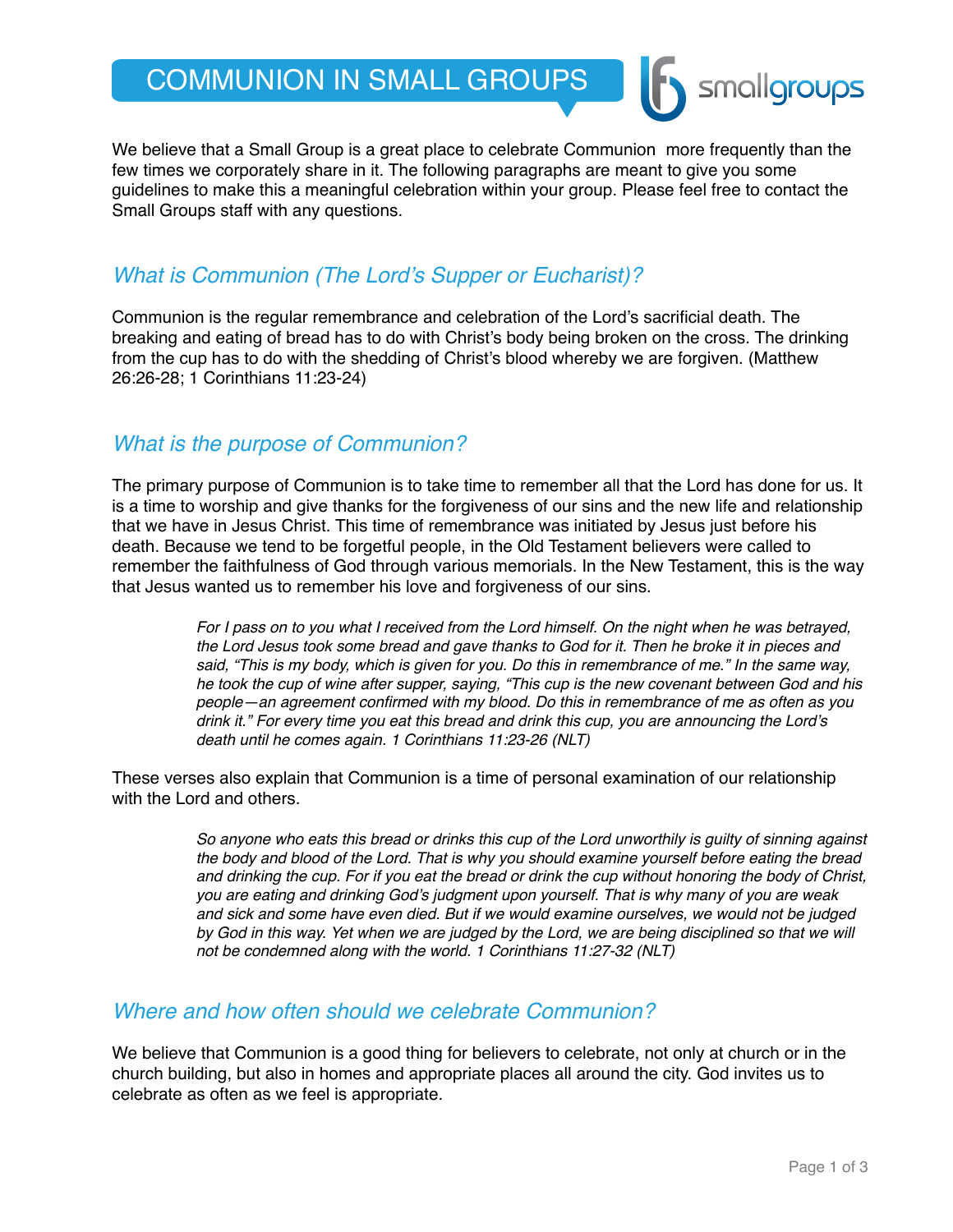# COMMUNION IN SMALL GROUPS

We believe that a Small Group is a great place to celebrate Communion more frequently than the few times we corporately share in it. The following paragraphs are meant to give you some guidelines to make this a meaningful celebration within your group. Please feel free to contact the Small Groups staff with any questions.

# *What is Communion (The Lord's Supper or Eucharist)?*

Communion is the regular remembrance and celebration of the Lord's sacrificial death. The breaking and eating of bread has to do with Christ's body being broken on the cross. The drinking from the cup has to do with the shedding of Christ's blood whereby we are forgiven. (Matthew 26:26-28; 1 Corinthians 11:23-24)

#### *What is the purpose of Communion?*

The primary purpose of Communion is to take time to remember all that the Lord has done for us. It is a time to worship and give thanks for the forgiveness of our sins and the new life and relationship that we have in Jesus Christ. This time of remembrance was initiated by Jesus just before his death. Because we tend to be forgetful people, in the Old Testament believers were called to remember the faithfulness of God through various memorials. In the New Testament, this is the way that Jesus wanted us to remember his love and forgiveness of our sins.

> *For I pass on to you what I received from the Lord himself. On the night when he was betrayed, the Lord Jesus took some bread and gave thanks to God for it. Then he broke it in pieces and said, "This is my body, which is given for you. Do this in remembrance of me." In the same way, he took the cup of wine after supper, saying, "This cup is the new covenant between God and his people—an agreement confirmed with my blood. Do this in remembrance of me as often as you drink it." For every time you eat this bread and drink this cup, you are announcing the Lord's death until he comes again. 1 Corinthians 11:23-26 (NLT)*

These verses also explain that Communion is a time of personal examination of our relationship with the Lord and others.

> *So anyone who eats this bread or drinks this cup of the Lord unworthily is guilty of sinning against the body and blood of the Lord. That is why you should examine yourself before eating the bread and drinking the cup. For if you eat the bread or drink the cup without honoring the body of Christ, you are eating and drinking God's judgment upon yourself. That is why many of you are weak and sick and some have even died. But if we would examine ourselves, we would not be judged*  by God in this way. Yet when we are judged by the Lord, we are being disciplined so that we will *not be condemned along with the world. 1 Corinthians 11:27-32 (NLT)*

#### *Where and how often should we celebrate Communion?*

We believe that Communion is a good thing for believers to celebrate, not only at church or in the church building, but also in homes and appropriate places all around the city. God invites us to celebrate as often as we feel is appropriate.

smallgroups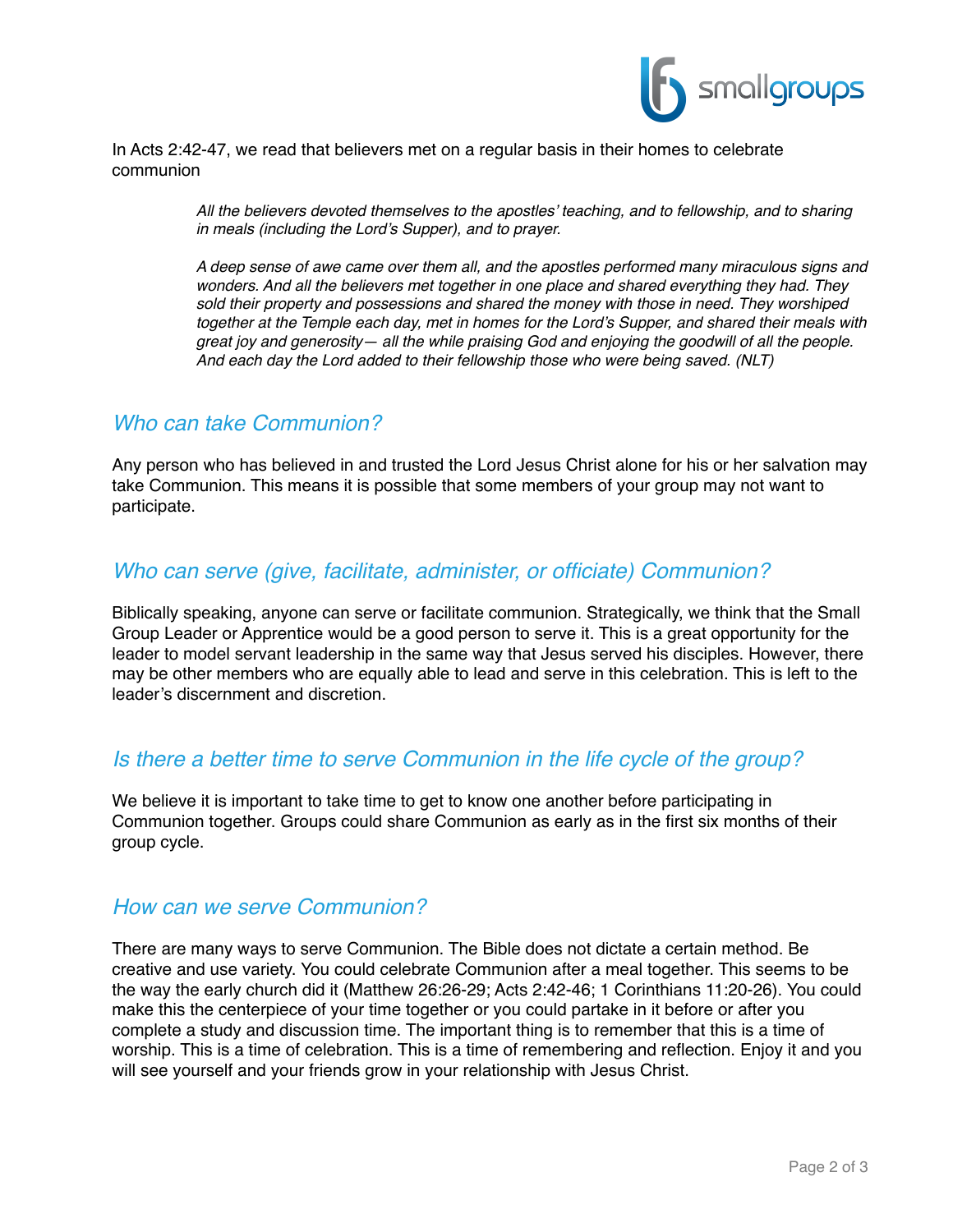

#### In Acts 2:42-47, we read that believers met on a regular basis in their homes to celebrate communion

*All the believers devoted themselves to the apostles' teaching, and to fellowship, and to sharing in meals (including the Lord's Supper), and to prayer.*

*A deep sense of awe came over them all, and the apostles performed many miraculous signs and wonders. And all the believers met together in one place and shared everything they had. They sold their property and possessions and shared the money with those in need. They worshiped together at the Temple each day, met in homes for the Lord's Supper, and shared their meals with great joy and generosity— all the while praising God and enjoying the goodwill of all the people. And each day the Lord added to their fellowship those who were being saved. (NLT)*

#### *Who can take Communion?*

Any person who has believed in and trusted the Lord Jesus Christ alone for his or her salvation may take Communion. This means it is possible that some members of your group may not want to participate.

# *Who can serve (give, facilitate, administer, or officiate) Communion?*

Biblically speaking, anyone can serve or facilitate communion. Strategically, we think that the Small Group Leader or Apprentice would be a good person to serve it. This is a great opportunity for the leader to model servant leadership in the same way that Jesus served his disciples. However, there may be other members who are equally able to lead and serve in this celebration. This is left to the leader's discernment and discretion.

# *Is there a better time to serve Communion in the life cycle of the group?*

We believe it is important to take time to get to know one another before participating in Communion together. Groups could share Communion as early as in the first six months of their group cycle.

#### *How can we serve Communion?*

There are many ways to serve Communion. The Bible does not dictate a certain method. Be creative and use variety. You could celebrate Communion after a meal together. This seems to be the way the early church did it (Matthew 26:26-29; Acts 2:42-46; 1 Corinthians 11:20-26). You could make this the centerpiece of your time together or you could partake in it before or after you complete a study and discussion time. The important thing is to remember that this is a time of worship. This is a time of celebration. This is a time of remembering and reflection. Enjoy it and you will see yourself and your friends grow in your relationship with Jesus Christ.